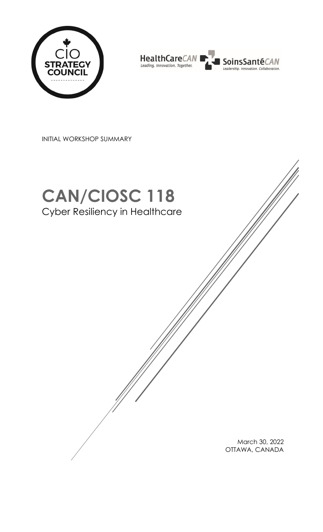



INITIAL WORKSHOP SUMMARY

# **CAN/CIOSC 118** Cyber Resiliency in Healthcare

March 30, 2022 OTTAWA, CANADA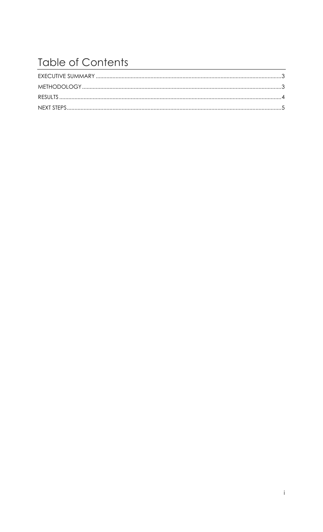# **Table of Contents**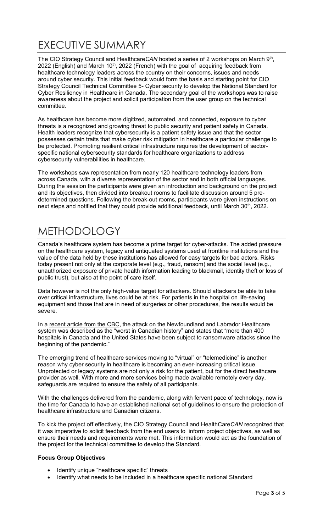### <span id="page-2-0"></span>EXECUTIVE SUMMARY

The CIO Strategy Council and Healthcare CAN hosted a series of 2 workshops on March 9<sup>th</sup>, 2022 (English) and March  $10<sup>th</sup>$ , 2022 (French) with the goal of acquiring feedback from healthcare technology leaders across the country on their concerns, issues and needs around cyber security. This initial feedback would form the basis and starting point for CIO Strategy Council Technical Committee 5- Cyber security to develop the National Standard for Cyber Resiliency in Healthcare in Canada. The secondary goal of the workshops was to raise awareness about the project and solicit participation from the user group on the technical committee.

As healthcare has become more digitized, automated, and connected, exposure to cyber threats is a recognized and growing threat to public security and patient safety in Canada. Health leaders recognize that cybersecurity is a patient safety issue and that the sector possesses certain traits that make cyber risk mitigation in healthcare a particular challenge to be protected. Promoting resilient critical infrastructure requires the development of sectorspecific national cybersecurity standards for healthcare organizations to address cybersecurity vulnerabilities in healthcare.

The workshops saw representation from nearly 120 healthcare technology leaders from across Canada, with a diverse representation of the sector and in both official languages. During the session the participants were given an introduction and background on the project and its objectives, then divided into breakout rooms to facilitate discussion around 5 predetermined questions. Following the break-out rooms, participants were given instructions on next steps and notified that they could provide additional feedback, until March  $30<sup>th</sup>$ , 2022.

## <span id="page-2-1"></span>METHODOLOGY

Canada's healthcare system has become a prime target for cyber-attacks. The added pressure on the healthcare system, legacy and antiquated systems used at frontline institutions and the value of the data held by these institutions has allowed for easy targets for bad actors. Risks today present not only at the corporate level (e.g., fraud, ransom) and the social level (e.g., unauthorized exposure of private health information leading to blackmail, identity theft or loss of public trust), but also at the point of care itself.

Data however is not the only high-value target for attackers. Should attackers be able to take over critical infrastructure, lives could be at risk. For patients in the hospital on life-saving equipment and those that are in need of surgeries or other procedures, the results would be severe.

In a [recent article from the CBC,](https://www.cbc.ca/news/canada/newfoundland-labrador/nl-cyber-attack-worst-canada-1.6236210) the attack on the Newfoundland and Labrador Healthcare system was described as the "worst in Canadian history" and states that "more than 400 hospitals in Canada and the United States have been subject to ransomware attacks since the beginning of the pandemic."

The emerging trend of healthcare services moving to "virtual" or "telemedicine" is another reason why cyber security in healthcare is becoming an ever-increasing critical issue. Unprotected or legacy systems are not only a risk for the patient, but for the direct healthcare provider as well. With more and more services being made available remotely every day, safeguards are required to ensure the safety of all participants.

With the challenges delivered from the pandemic, along with fervent pace of technology, now is the time for Canada to have an established national set of guidelines to ensure the protection of healthcare infrastructure and Canadian citizens.

To kick the project off effectively, the CIO Strategy Council and HealthCare*CAN* recognized that it was imperative to solicit feedback from the end users to inform project objectives, as well as ensure their needs and requirements were met. This information would act as the foundation of the project for the technical committee to develop the Standard.

#### **Focus Group Objectives**

- Identify unique "healthcare specific" threats
- Identify what needs to be included in a healthcare specific national Standard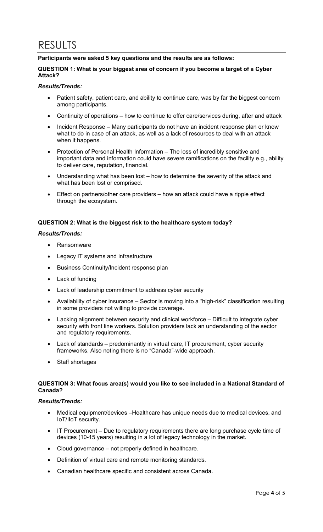### <span id="page-3-0"></span>RESULTS

#### **Participants were asked 5 key questions and the results are as follows:**

#### **QUESTION 1: What is your biggest area of concern if you become a target of a Cyber Attack?**

#### *Results/Trends:*

- Patient safety, patient care, and ability to continue care, was by far the biggest concern among participants.
- Continuity of operations how to continue to offer care/services during, after and attack
- Incident Response Many participants do not have an incident response plan or know what to do in case of an attack, as well as a lack of resources to deal with an attack when it happens.
- Protection of Personal Health Information The loss of incredibly sensitive and important data and information could have severe ramifications on the facility e.g., ability to deliver care, reputation, financial.
- Understanding what has been lost how to determine the severity of the attack and what has been lost or comprised.
- Effect on partners/other care providers how an attack could have a ripple effect through the ecosystem.

#### **QUESTION 2: What is the biggest risk to the healthcare system today?**

#### *Results/Trends:*

- **Ransomware**
- Legacy IT systems and infrastructure
- Business Continuity/Incident response plan
- Lack of funding
- Lack of leadership commitment to address cyber security
- Availability of cyber insurance Sector is moving into a "high-risk" classification resulting in some providers not willing to provide coverage.
- Lacking alignment between security and clinical workforce Difficult to integrate cyber security with front line workers. Solution providers lack an understanding of the sector and regulatory requirements.
- Lack of standards predominantly in virtual care, IT procurement, cyber security frameworks. Also noting there is no "Canada"-wide approach.
- Staff shortages

#### **QUESTION 3: What focus area(s) would you like to see included in a National Standard of Canada?**

#### *Results/Trends:*

- Medical equipment/devices –Healthcare has unique needs due to medical devices, and IoT/IIoT security.
- IT Procurement Due to regulatory requirements there are long purchase cycle time of devices (10-15 years) resulting in a lot of legacy technology in the market.
- Cloud governance not properly defined in healthcare.
- Definition of virtual care and remote monitoring standards.
- Canadian healthcare specific and consistent across Canada.